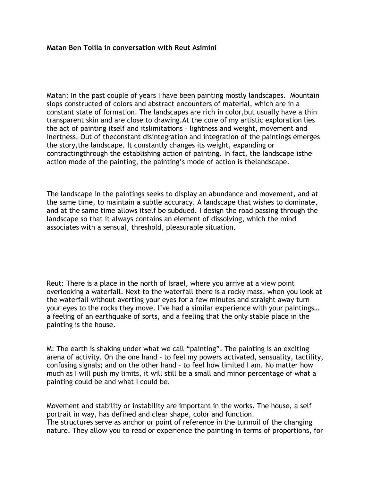## **Matan Ben Tolila in conversation with Reut Asimini**

Matan: In the past couple of years I have been painting mostly landscapes. Mountain slops constructed of colors and abstract encounters of material, which are in a constant state of formation. The landscapes are rich in color,but usually have a thin transparent skin and are close to drawing.At the core of my artistic exploration lies the act of painting itself and itslimitations – lightness and weight, movement and inertness. Out of theconstant disintegration and integration of the paintings emerges the story,the landscape. It constantly changes its weight, expanding or contractingthrough the establishing action of painting. In fact, the landscape isthe action mode of the painting, the painting's mode of action is thelandscape.

The landscape in the paintings seeks to display an abundance and movement, and at the same time, to maintain a subtle accuracy. A landscape that wishes to dominate, and at the same time allows itself be subdued. I design the road passing through the landscape so that it always contains an element of dissolving, which the mind associates with a sensual, threshold, pleasurable situation.

Reut: There is a place in the north of Israel, where you arrive at a view point overlooking a waterfall. Next to the waterfall there is a rocky mass, when you look at the waterfall without averting your eyes for a few minutes and straight away turn your eyes to the rocks they move. I've had a similar experience with your paintings… a feeling of an earthquake of sorts, and a feeling that the only stable place in the painting is the house.

M: The earth is shaking under what we call "painting". The painting is an exciting arena of activity. On the one hand – to feel my powers activated, sensuality, tactility, confusing signals; and on the other hand – to feel how limited I am. No matter how much as I will push my limits, it will still be a small and minor percentage of what a painting could be and what I could be.

Movement and stability or instability are important in the works. The house, a self portrait in way, has defined and clear shape, color and function. The structures serve as anchor or point of reference in the turmoil of the changing nature. They allow you to read or experience the painting in terms of proportions, for